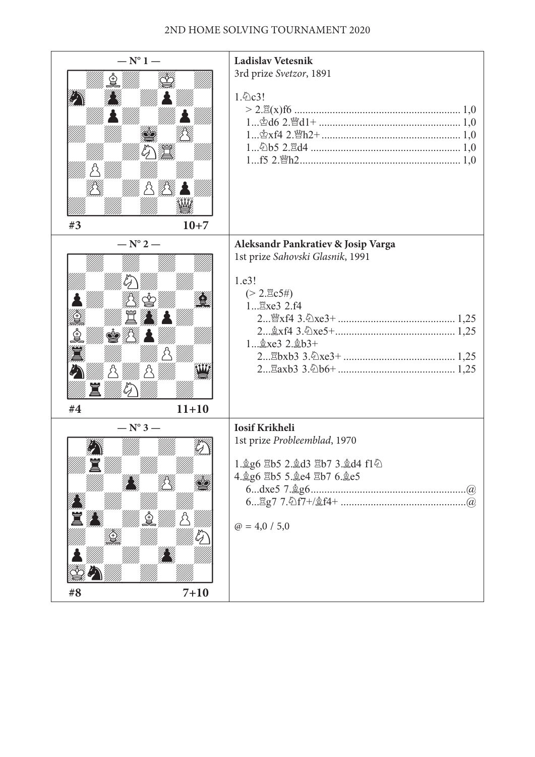### 2nd home solving tournament 2020

| $- N^{\circ} 1 -$                   | <b>Ladislav Vetesnik</b><br>3rd prize Svetzor, 1891                                                                                                                  |  |  |
|-------------------------------------|----------------------------------------------------------------------------------------------------------------------------------------------------------------------|--|--|
| }\ <i>\\\\</i> \\\\<br>#3<br>$10+7$ | 1. 2c3!                                                                                                                                                              |  |  |
| $- N^{\circ} 2 -$                   | Aleksandr Pankratiev & Josip Varga                                                                                                                                   |  |  |
| <b>se</b> 44<br>#4<br>$11 + 10$     | 1st prize Sahovski Glasnik, 1991<br>1.e3!<br>$(>2.\text{nc}5\text{#})$<br>1 Exe3 2.f4<br>$2 \dots \& xf4 \cdot 3 \cdot \& xe5 + \dots$<br>$1 \dots \& xe3\ 2 \& b3+$ |  |  |
| $- N^{\circ} 3 -$                   | <b>Iosif Krikheli</b>                                                                                                                                                |  |  |
| ////////<br>7777777<br>筽            | 1st prize Probleemblad, 1970<br>1. g6 Eb5 2. gd3 Eb7 3. gd4 f1 4<br>4. g6 骂b5 5. ge4 骂b7 6. ge5<br>$\cdot$ (a)<br>$\omega = 4.0 / 5.0$                               |  |  |
| $7 + 10$<br>#8                      |                                                                                                                                                                      |  |  |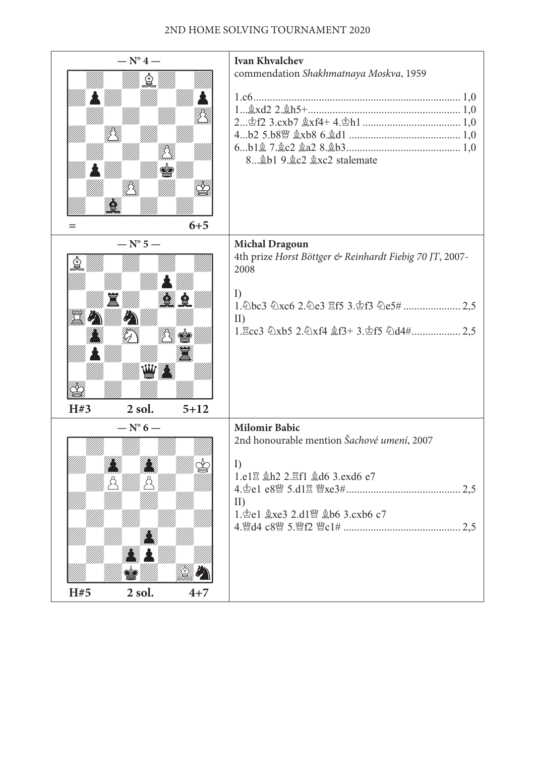#### 2nd home solving tournament 2020

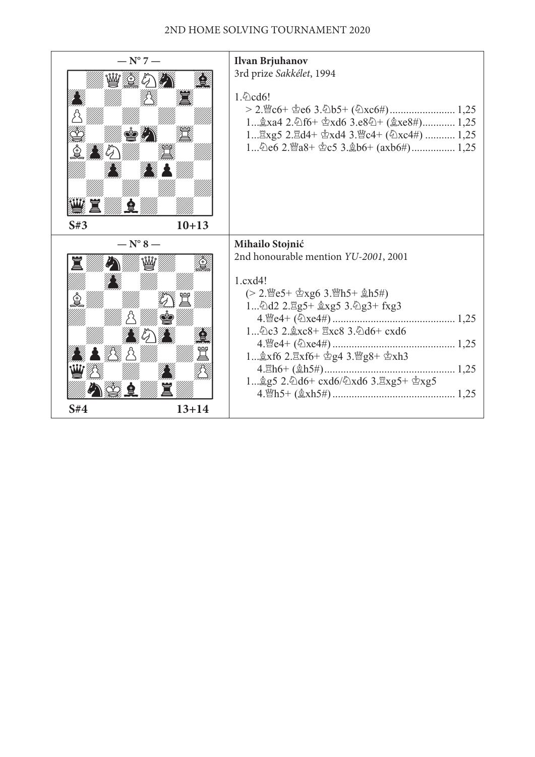#### 2nd home solving tournament 2020

| $- N^{\circ} 7 -$<br>$\bullet$ $\mathcal{G}$<br>S#3<br>$10 + 13$                                           | Ilvan Brjuhanov<br>3rd prize Sakkélet, 1994<br>1. $\Diamond$ cd6!<br>1 $\&$ xa4 2. $\&$ f6+ $\&$ xd6 3.e8 $\&$ + ( $\&$ xe8#) 1,25<br>1 Exg5 2. Ed4+ hxd4 3. ic4+ (公xc4#)  1,25                                                                                                                                        |
|------------------------------------------------------------------------------------------------------------|------------------------------------------------------------------------------------------------------------------------------------------------------------------------------------------------------------------------------------------------------------------------------------------------------------------------|
| $- N^{\circ} 8 -$<br>$\mathbb{Z} \times \mathbb{Z}$ and $\mathbb{Z} \times \mathbb{Z}$<br>S#4<br>$13 + 14$ | Mihailo Stojnić<br>2nd honourable mention YU-2001, 2001<br>$1c.\cdots$<br>$(> 2.\mathbb{W}e5+\mathbb{Z}xg6 \; 3.\mathbb{W}h5+\mathbb{Z}h5\#)$<br>1公d2 2. g5+ gxg5 3.公g3+ fxg3<br>1 ①c3 2. gxc8+ Exc8 3. ②d6+ cxd6<br>1 $\&$ xf6 2. $\&$ xf6+ $\&$ g4 3. 曾g8+ $\&$ xh3<br>1,25<br>1 g5 2. 包d6+ cxd6/ 包xd6 3. Exg5+ 空xg5 |